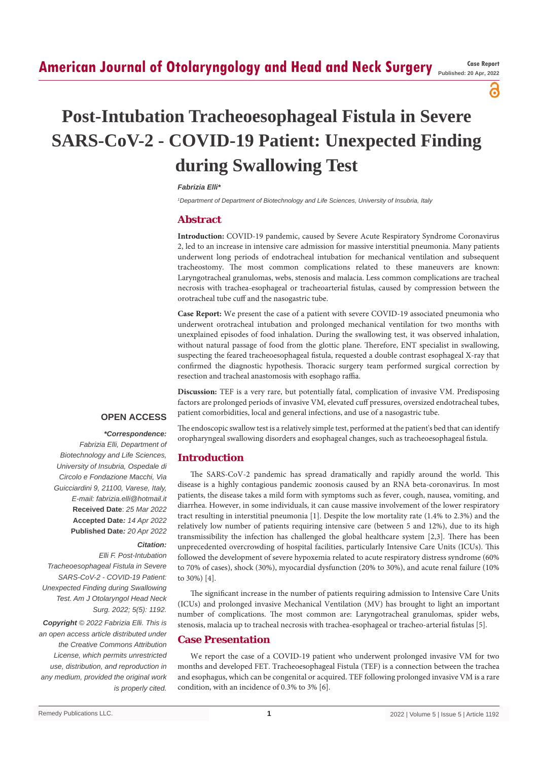## **American Journal of Otolaryngology and Head and Neck Surgery Case Report Case Report**

**Published: 20 Apr, 2022**

႕

# **Post-Intubation Tracheoesophageal Fistula in Severe SARS-CoV-2 - COVID-19 Patient: Unexpected Finding during Swallowing Test**

#### *Fabrizia Elli\**

*1 Department of Department of Biotechnology and Life Sciences, University of Insubria, Italy*

#### **Abstract**

**Introduction:** COVID-19 pandemic, caused by Severe Acute Respiratory Syndrome Coronavirus 2, led to an increase in intensive care admission for massive interstitial pneumonia. Many patients underwent long periods of endotracheal intubation for mechanical ventilation and subsequent tracheostomy. The most common complications related to these maneuvers are known: Laryngotracheal granulomas, webs, stenosis and malacia. Less common complications are tracheal necrosis with trachea-esophageal or tracheoarterial fistulas, caused by compression between the orotracheal tube cuff and the nasogastric tube.

**Case Report:** We present the case of a patient with severe COVID-19 associated pneumonia who underwent orotracheal intubation and prolonged mechanical ventilation for two months with unexplained episodes of food inhalation. During the swallowing test, it was observed inhalation, without natural passage of food from the glottic plane. Therefore, ENT specialist in swallowing, suspecting the feared tracheoesophageal fistula, requested a double contrast esophageal X-ray that confirmed the diagnostic hypothesis. Thoracic surgery team performed surgical correction by resection and tracheal anastomosis with esophago raffia.

**Discussion:** TEF is a very rare, but potentially fatal, complication of invasive VM. Predisposing factors are prolonged periods of invasive VM, elevated cuff pressures, oversized endotracheal tubes, patient comorbidities, local and general infections, and use of a nasogastric tube.

#### **OPEN ACCESS**

### *\*Correspondence:*

*Fabrizia Elli, Department of Biotechnology and Life Sciences, University of Insubria, Ospedale di Circolo e Fondazione Macchi, Via Guicciardini 9, 21100, Varese, Italy, E-mail: fabrizia.elli@hotmail.it* **Received Date**: *25 Mar 2022* **Accepted Date***: 14 Apr 2022* **Published Date***: 20 Apr 2022*

#### *Citation:*

*Elli F. Post-Intubation Tracheoesophageal Fistula in Severe SARS-CoV-2 - COVID-19 Patient: Unexpected Finding during Swallowing Test. Am J Otolaryngol Head Neck Surg. 2022; 5(5): 1192. Copyright © 2022 Fabrizia Elli. This is an open access article distributed under the Creative Commons Attribution License, which permits unrestricted use, distribution, and reproduction in any medium, provided the original work is properly cited.*

The endoscopic swallow test is a relatively simple test, performed at the patient's bed that can identify oropharyngeal swallowing disorders and esophageal changes, such as tracheoesophageal fistula.

#### **Introduction**

The SARS-CoV-2 pandemic has spread dramatically and rapidly around the world. This disease is a highly contagious pandemic zoonosis caused by an RNA beta-coronavirus. In most patients, the disease takes a mild form with symptoms such as fever, cough, nausea, vomiting, and diarrhea. However, in some individuals, it can cause massive involvement of the lower respiratory tract resulting in interstitial pneumonia [1]. Despite the low mortality rate (1.4% to 2.3%) and the relatively low number of patients requiring intensive care (between 5 and 12%), due to its high transmissibility the infection has challenged the global healthcare system [2,3]. There has been unprecedented overcrowding of hospital facilities, particularly Intensive Care Units (ICUs). This followed the development of severe hypoxemia related to acute respiratory distress syndrome (60% to 70% of cases), shock (30%), myocardial dysfunction (20% to 30%), and acute renal failure (10% to 30%) [4].

The significant increase in the number of patients requiring admission to Intensive Care Units (ICUs) and prolonged invasive Mechanical Ventilation (MV) has brought to light an important number of complications. The most common are: Laryngotracheal granulomas, spider webs, stenosis, malacia up to tracheal necrosis with trachea-esophageal or tracheo-arterial fistulas [5].

#### **Case Presentation**

We report the case of a COVID-19 patient who underwent prolonged invasive VM for two months and developed FET. Tracheoesophageal Fistula (TEF) is a connection between the trachea and esophagus, which can be congenital or acquired. TEF following prolonged invasive VM is a rare condition, with an incidence of 0.3% to 3% [6].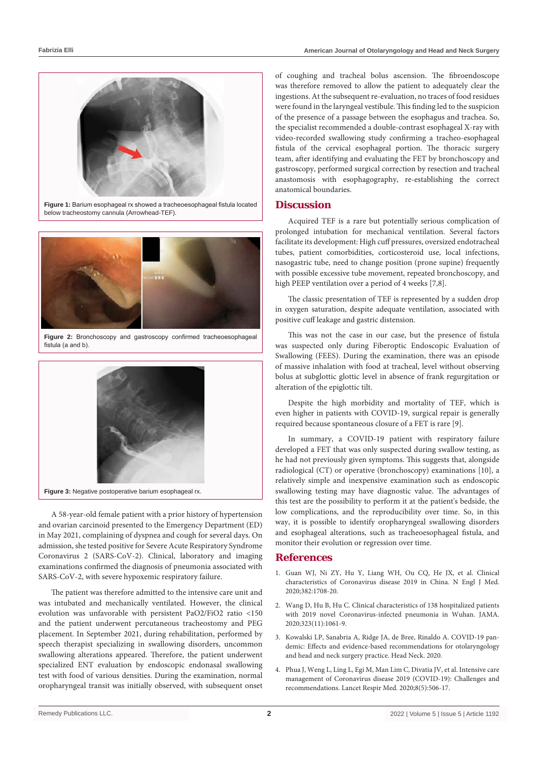

**Figure 1:** Barium esophageal rx showed a tracheoesophageal fistula located below tracheostomy cannula (Arrowhead-TEF).



**Figure 2:** Bronchoscopy and gastroscopy confirmed tracheoesophageal fistula (a and b).



A 58-year-old female patient with a prior history of hypertension and ovarian carcinoid presented to the Emergency Department (ED) in May 2021, complaining of dyspnea and cough for several days. On admission, she tested positive for Severe Acute Respiratory Syndrome Coronavirus 2 (SARS-CoV-2). Clinical, laboratory and imaging examinations confirmed the diagnosis of pneumonia associated with SARS-CoV-2, with severe hypoxemic respiratory failure.

The patient was therefore admitted to the intensive care unit and was intubated and mechanically ventilated. However, the clinical evolution was unfavorable with persistent PaO2/FiO2 ratio <150 and the patient underwent percutaneous tracheostomy and PEG placement. In September 2021, during rehabilitation, performed by speech therapist specializing in swallowing disorders, uncommon swallowing alterations appeared. Therefore, the patient underwent specialized ENT evaluation by endoscopic endonasal swallowing test with food of various densities. During the examination, normal oropharyngeal transit was initially observed, with subsequent onset

of coughing and tracheal bolus ascension. The fibroendoscope was therefore removed to allow the patient to adequately clear the ingestions. At the subsequent re-evaluation, no traces of food residues were found in the laryngeal vestibule. This finding led to the suspicion of the presence of a passage between the esophagus and trachea. So, the specialist recommended a double-contrast esophageal X-ray with video-recorded swallowing study confirming a tracheo-esophageal fistula of the cervical esophageal portion. The thoracic surgery team, after identifying and evaluating the FET by bronchoscopy and gastroscopy, performed surgical correction by resection and tracheal anastomosis with esophagography, re-establishing the correct anatomical boundaries.

#### **Discussion**

Acquired TEF is a rare but potentially serious complication of prolonged intubation for mechanical ventilation. Several factors facilitate its development: High cuff pressures, oversized endotracheal tubes, patient comorbidities, corticosteroid use, local infections, nasogastric tube, need to change position (prone supine) frequently with possible excessive tube movement, repeated bronchoscopy, and high PEEP ventilation over a period of 4 weeks [7,8].

The classic presentation of TEF is represented by a sudden drop in oxygen saturation, despite adequate ventilation, associated with positive cuff leakage and gastric distension.

This was not the case in our case, but the presence of fistula was suspected only during Fiberoptic Endoscopic Evaluation of Swallowing (FEES). During the examination, there was an episode of massive inhalation with food at tracheal, level without observing bolus at subglottic glottic level in absence of frank regurgitation or alteration of the epiglottic tilt.

Despite the high morbidity and mortality of TEF, which is even higher in patients with COVID-19, surgical repair is generally required because spontaneous closure of a FET is rare [9].

In summary, a COVID-19 patient with respiratory failure developed a FET that was only suspected during swallow testing, as he had not previously given symptoms. This suggests that, alongside radiological (CT) or operative (bronchoscopy) examinations [10], a relatively simple and inexpensive examination such as endoscopic swallowing testing may have diagnostic value. The advantages of this test are the possibility to perform it at the patient's bedside, the low complications, and the reproducibility over time. So, in this way, it is possible to identify oropharyngeal swallowing disorders and esophageal alterations, such as tracheoesophageal fistula, and monitor their evolution or regression over time.

#### **References**

- 1. [Guan WJ, Ni ZY, Hu Y, Liang WH, Ou CQ, He JX, et al. Clinical](https://www.nejm.org/doi/full/10.1056/nejmoa2002032)  [characteristics of Coronavirus disease 2019 in China. N Engl J Med.](https://www.nejm.org/doi/full/10.1056/nejmoa2002032)  [2020;382:1708-20.](https://www.nejm.org/doi/full/10.1056/nejmoa2002032)
- 2. [Wang D, Hu B, Hu C. Clinical characteristics of 138 hospitalized patients](https://jamanetwork.com/journals/jama/fullarticle/2761044)  [with 2019 novel Coronavirus-infected pneumonia in Wuhan. JAMA.](https://jamanetwork.com/journals/jama/fullarticle/2761044)  [2020;323\(11\):1061-9.](https://jamanetwork.com/journals/jama/fullarticle/2761044)
- 3. [Kowalski LP, Sanabria A, Ridge JA, de Bree, Rinaldo A. COVID-19 pan](https://onlinelibrary.wiley.com/doi/10.1002/hed.26164)[demic: Effects and evidence-based recommendations for otolaryngology](https://onlinelibrary.wiley.com/doi/10.1002/hed.26164)  [and head and neck surgery practice. Head Neck. 2020.](https://onlinelibrary.wiley.com/doi/10.1002/hed.26164)
- 4. [Phua J, Weng L, Ling L, Egi M, Man Lim C, Divatia JV, et al. Intensive care](https://pubmed.ncbi.nlm.nih.gov/32272080/)  [management of Coronavirus disease 2019 \(COVID-19\): Challenges and](https://pubmed.ncbi.nlm.nih.gov/32272080/)  [recommendations. Lancet Respir Med. 2020;8\(5\):506-17.](https://pubmed.ncbi.nlm.nih.gov/32272080/)